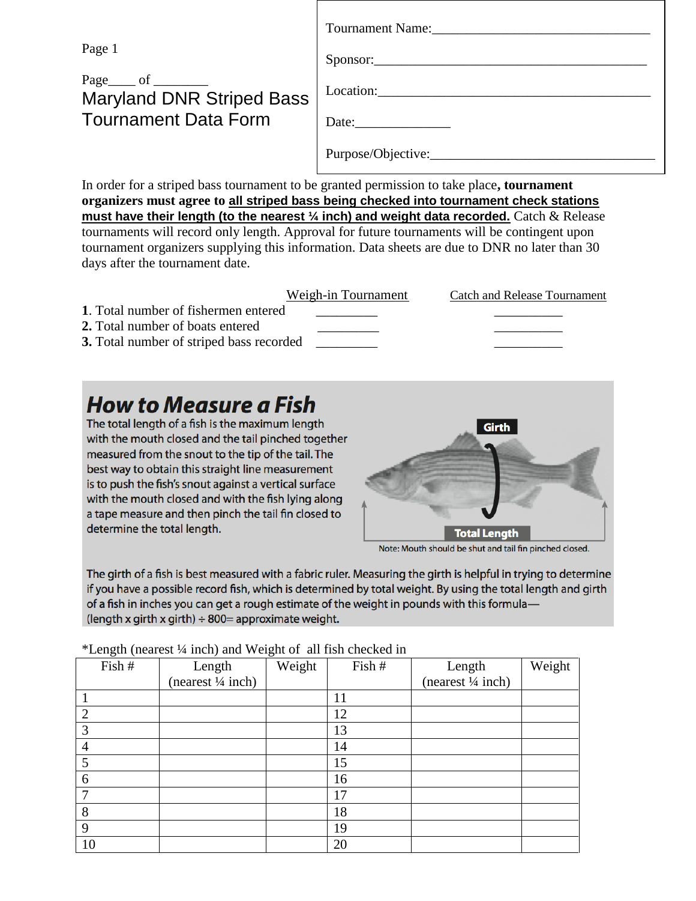Page 1

## Page of Maryland DNR Striped Bass Tournament Data Form

| Tournament Name:   |
|--------------------|
| Sponsor:           |
| Location:          |
| Date:              |
| Purpose/Objective: |

In order for a striped bass tournament to be granted permission to take place**, tournament organizers must agree to all striped bass being checked into tournament check stations must have their length (to the nearest ¼ inch) and weight data recorded.** Catch & Release tournaments will record only length. Approval for future tournaments will be contingent upon tournament organizers supplying this information. Data sheets are due to DNR no later than 30 days after the tournament date.

|                                                 | Weigh-in Tournament | Catch and Release Tournament |
|-------------------------------------------------|---------------------|------------------------------|
| 1. Total number of fishermen entered            |                     |                              |
| 2. Total number of boats entered                |                     |                              |
| <b>3.</b> Total number of striped bass recorded |                     |                              |

# **How to Measure a Fish**

The total length of a fish is the maximum length with the mouth closed and the tail pinched together measured from the snout to the tip of the tail. The best way to obtain this straight line measurement is to push the fish's snout against a vertical surface with the mouth closed and with the fish lying along a tape measure and then pinch the tail fin closed to determine the total length.



Note: Mouth should be shut and tail fin pinched closed.

The girth of a fish is best measured with a fabric ruler. Measuring the girth is helpful in trying to determine if you have a possible record fish, which is determined by total weight. By using the total length and girth of a fish in inches you can get a rough estimate of the weight in pounds with this formula— (length x girth x girth)  $\div$  800= approximate weight.

| Fish # | Lengui (hearest /4 men) and weight of an instruction in<br>Length | Weight | Fish # | Length             | Weight |
|--------|-------------------------------------------------------------------|--------|--------|--------------------|--------|
|        | (nearest 1/4 inch)                                                |        |        | (nearest 1/4 inch) |        |
|        |                                                                   |        | 11     |                    |        |
| 2      |                                                                   |        | 12     |                    |        |
| 3      |                                                                   |        | 13     |                    |        |
| 4      |                                                                   |        | 14     |                    |        |
| 5      |                                                                   |        | 15     |                    |        |
| 6      |                                                                   |        | 16     |                    |        |
|        |                                                                   |        | 17     |                    |        |
| 8      |                                                                   |        | 18     |                    |        |
| 9      |                                                                   |        | 19     |                    |        |
| 10     |                                                                   |        | 20     |                    |        |

\*Length (nearest ¼ inch) and Weight of all fish checked in